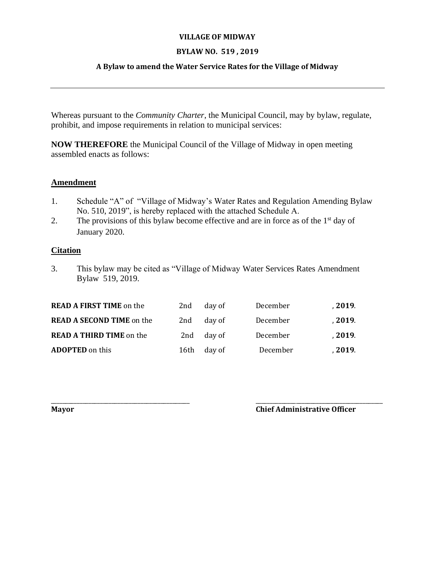#### **VILLAGE OF MIDWAY**

# **BYLAW NO. 519 , 2019**

# **A Bylaw to amend the Water Service Rates for the Village of Midway**

Whereas pursuant to the *Community Charter*, the Municipal Council, may by bylaw, regulate, prohibit, and impose requirements in relation to municipal services:

**NOW THEREFORE** the Municipal Council of the Village of Midway in open meeting assembled enacts as follows:

## **Amendment**

- 1. Schedule "A" of "Village of Midway's Water Rates and Regulation Amending Bylaw No. 510, 2019", is hereby replaced with the attached Schedule A.
- 2. The provisions of this bylaw become effective and are in force as of the 1<sup>st</sup> day of January 2020.

## **Citation**

3. This bylaw may be cited as "Village of Midway Water Services Rates Amendment Bylaw 519, 2019.

| <b>READ A FIRST TIME on the</b>  | 2nd  | day of | December | , 2019. |
|----------------------------------|------|--------|----------|---------|
| <b>READ A SECOND TIME</b> on the | 2nd  | day of | December | , 2019. |
| <b>READ A THIRD TIME</b> on the  | 2nd  | day of | December | , 2019. |
| <b>ADOPTED</b> on this           | 16th | day of | December | , 2019. |

\_\_\_\_\_\_\_\_\_\_\_\_\_\_\_\_\_\_\_\_\_\_\_\_\_\_\_\_\_\_\_\_\_\_\_\_\_\_\_\_\_\_\_\_\_\_\_\_ \_\_\_\_\_\_\_\_\_\_\_\_\_\_\_\_\_\_\_\_\_\_\_\_\_\_\_\_\_\_\_\_\_\_\_\_\_\_\_\_\_\_\_\_

#### **Mayor Chief Administrative Officer**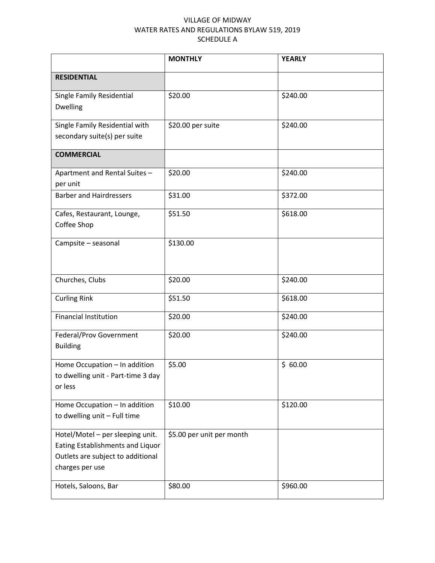## VILLAGE OF MIDWAY WATER RATES AND REGULATIONS BYLAW 519, 2019 SCHEDULE A

|                                                                                                                              | <b>MONTHLY</b>            | <b>YEARLY</b> |
|------------------------------------------------------------------------------------------------------------------------------|---------------------------|---------------|
| <b>RESIDENTIAL</b>                                                                                                           |                           |               |
| Single Family Residential<br>Dwelling                                                                                        | \$20.00                   | \$240.00      |
| Single Family Residential with<br>secondary suite(s) per suite                                                               | \$20.00 per suite         | \$240.00      |
| <b>COMMERCIAL</b>                                                                                                            |                           |               |
| Apartment and Rental Suites -<br>per unit                                                                                    | \$20.00                   | \$240.00      |
| <b>Barber and Hairdressers</b>                                                                                               | \$31.00                   | \$372.00      |
| Cafes, Restaurant, Lounge,<br>Coffee Shop                                                                                    | \$51.50                   | \$618.00      |
| Campsite - seasonal                                                                                                          | \$130.00                  |               |
| Churches, Clubs                                                                                                              | \$20.00                   | \$240.00      |
| <b>Curling Rink</b>                                                                                                          | \$51.50                   | \$618.00      |
| <b>Financial Institution</b>                                                                                                 | \$20.00                   | \$240.00      |
| Federal/Prov Government<br><b>Building</b>                                                                                   | \$20.00                   | \$240.00      |
| Home Occupation - In addition<br>to dwelling unit - Part-time 3 day<br>or less                                               | \$5.00                    | \$60.00       |
| Home Occupation - In addition<br>to dwelling unit - Full time                                                                | \$10.00                   | \$120.00      |
| Hotel/Motel - per sleeping unit.<br>Eating Establishments and Liquor<br>Outlets are subject to additional<br>charges per use | \$5.00 per unit per month |               |
| Hotels, Saloons, Bar                                                                                                         | \$80.00                   | \$960.00      |